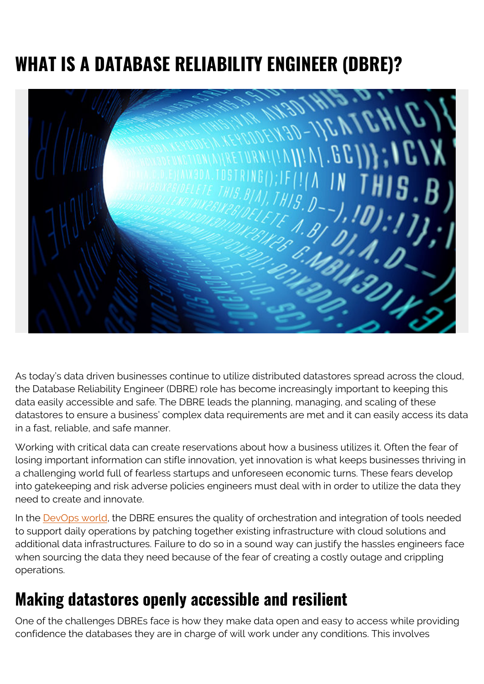# **WHAT IS A DATABASE RELIABILITY ENGINEER (DBRE)?**



As today's data driven businesses continue to utilize distributed datastores spread across the cloud, the Database Reliability Engineer (DBRE) role has become increasingly important to keeping this data easily accessible and safe. The DBRE leads the planning, managing, and scaling of these datastores to ensure a business' complex data requirements are met and it can easily access its data in a fast, reliable, and safe manner.

Working with critical data can create reservations about how a business utilizes it. Often the fear of losing important information can stifle innovation, yet innovation is what keeps businesses thriving in a challenging world full of fearless startups and unforeseen economic turns. These fears develop into gatekeeping and risk adverse policies engineers must deal with in order to utilize the data they need to create and innovate.

In the [DevOps world](https://blogs.bmc.com/blogs/devops-basics-introduction/), the DBRE ensures the quality of orchestration and integration of tools needed to support daily operations by patching together existing infrastructure with cloud solutions and additional data infrastructures. Failure to do so in a sound way can justify the hassles engineers face when sourcing the data they need because of the fear of creating a costly outage and crippling operations.

### **Making datastores openly accessible and resilient**

One of the challenges DBREs face is how they make data open and easy to access while providing confidence the databases they are in charge of will work under any conditions. This involves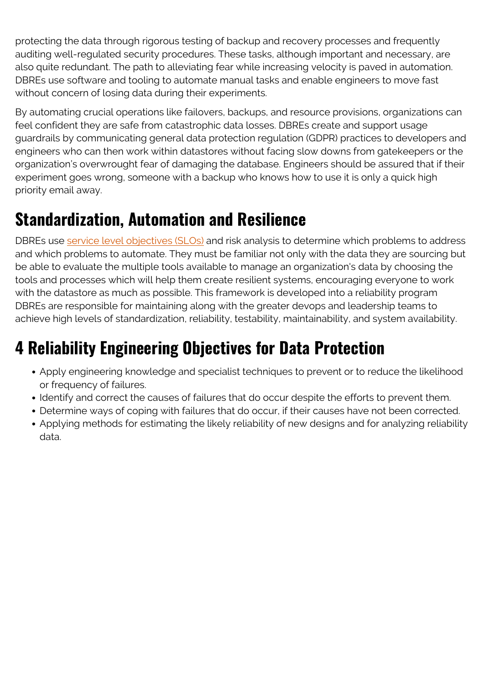protecting the data through rigorous testing of backup and recovery processes and frequently auditing well-regulated security procedures. These tasks, although important and necessary, are also quite redundant. The path to alleviating fear while increasing velocity is paved in automation. DBREs use software and tooling to automate manual tasks and enable engineers to move fast without concern of losing data during their experiments.

By automating crucial operations like failovers, backups, and resource provisions, organizations can feel confident they are safe from catastrophic data losses. DBREs create and support usage guardrails by communicating general data protection regulation (GDPR) practices to developers and engineers who can then work within datastores without facing slow downs from gatekeepers or the organization's overwrought fear of damaging the database. Engineers should be assured that if their experiment goes wrong, someone with a backup who knows how to use it is only a quick high priority email away.

## **Standardization, Automation and Resilience**

DBREs use [service level objectives \(SLOs\)](https://blogs.bmc.com/blogs/slo-service-level-objectives/) and risk analysis to determine which problems to address and which problems to automate. They must be familiar not only with the data they are sourcing but be able to evaluate the multiple tools available to manage an organization's data by choosing the tools and processes which will help them create resilient systems, encouraging everyone to work with the datastore as much as possible. This framework is developed into a reliability program DBREs are responsible for maintaining along with the greater devops and leadership teams to achieve high levels of standardization, reliability, testability, maintainability, and system availability.

## **4 Reliability Engineering Objectives for Data Protection**

- Apply engineering knowledge and specialist techniques to prevent or to reduce the likelihood or frequency of failures.
- Identify and correct the causes of failures that do occur despite the efforts to prevent them.
- Determine ways of coping with failures that do occur, if their causes have not been corrected.
- Applying methods for estimating the likely reliability of new designs and for analyzing reliability data.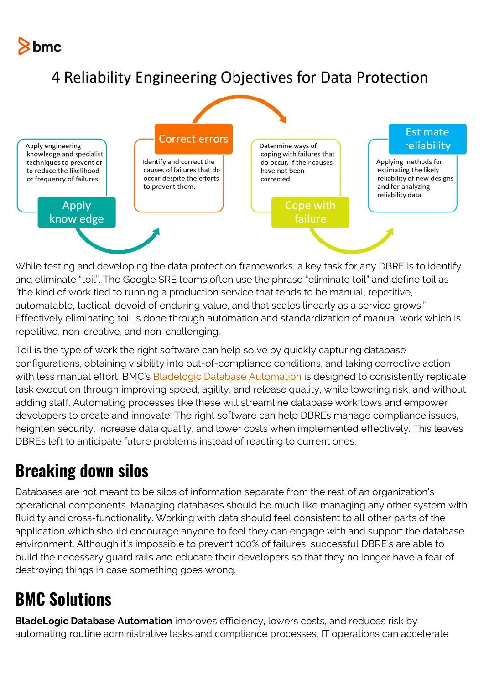

#### 4 Reliability Engineering Objectives for Data Protection



While testing and developing the data protection frameworks, a key task for any DBRE is to identify and eliminate "toil". The Google SRE teams often use the phrase "eliminate toil" and define toil as "the kind of work tied to running a production service that tends to be manual, repetitive, automatable, tactical, devoid of enduring value, and that scales linearly as a service grows." Effectively eliminating toil is done through automation and standardization of manual work which is repetitive, non-creative, and non-challenging.

Toil is the type of work the right software can help solve by quickly capturing database configurations, obtaining visibility into out-of-compliance conditions, and taking corrective action with less manual effort. BMC's **Bladelogic Database Automation** is designed to consistently replicate task execution through improving speed, agility, and release quality, while lowering risk, and without adding staff. Automating processes like these will streamline database workflows and empower developers to create and innovate. The right software can help DBREs manage compliance issues, heighten security, increase data quality, and lower costs when implemented effectively. This leaves DBREs left to anticipate future problems instead of reacting to current ones.

## **Breaking down silos**

Databases are not meant to be silos of information separate from the rest of an organization's operational components. Managing databases should be much like managing any other system with fluidity and cross-functionality. Working with data should feel consistent to all other parts of the application which should encourage anyone to feel they can engage with and support the database environment. Although it's impossible to prevent 100% of failures, successful DBRE's are able to build the necessary guard rails and educate their developers so that they no longer have a fear of destroying things in case something goes wrong.

## **BMC Solutions**

**BladeLogic Database Automation** improves efficiency, lowers costs, and reduces risk by automating routine administrative tasks and compliance processes. IT operations can accelerate